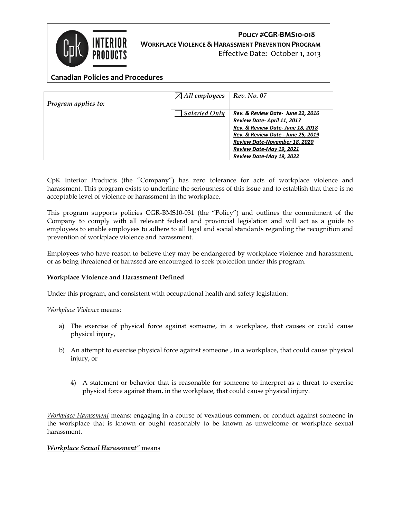

# **POLICY #CGR-BMS10-018 WORKPLACE VIOLENCE & HARASSMENT PREVENTION PROGRAM**

Effective Date: October 1, 2013

# **Canadian Policies and Procedures**

| Program applies to: | $\boxtimes$ All employees | Rev. No. 07                                                                                                                                                                                                                        |
|---------------------|---------------------------|------------------------------------------------------------------------------------------------------------------------------------------------------------------------------------------------------------------------------------|
|                     | <b>Salaried Only</b>      | Rev. & Review Date- June 22, 2016<br>Review Date-April 11, 2017<br>Rev. & Review Date-June 18, 2018<br>Rev. & Review Date - June 25, 2019<br>Review Date-November 18, 2020<br>Review Date-May 19, 2021<br>Review Date-May 19, 2022 |
|                     |                           |                                                                                                                                                                                                                                    |

CpK Interior Products (the "Company") has zero tolerance for acts of workplace violence and harassment. This program exists to underline the seriousness of this issue and to establish that there is no acceptable level of violence or harassment in the workplace.

This program supports policies CGR-BMS10-031 (the "Policy") and outlines the commitment of the Company to comply with all relevant federal and provincial legislation and will act as a guide to employees to enable employees to adhere to all legal and social standards regarding the recognition and prevention of workplace violence and harassment.

Employees who have reason to believe they may be endangered by workplace violence and harassment, or as being threatened or harassed are encouraged to seek protection under this program.

#### **Workplace Violence and Harassment Defined**

Under this program, and consistent with occupational health and safety legislation:

*Workplace Violence* means:

- a) The exercise of physical force against someone, in a workplace, that causes or could cause physical injury,
- b) An attempt to exercise physical force against someone , in a workplace, that could cause physical injury, or
	- 4) A statement or behavior that is reasonable for someone to interpret as a threat to exercise physical force against them, in the workplace, that could cause physical injury.

*Workplace Harassment* means: engaging in a course of vexatious comment or conduct against someone in the workplace that is known or ought reasonably to be known as unwelcome or workplace sexual harassment.

#### *Workplace Sexual Harassment"* means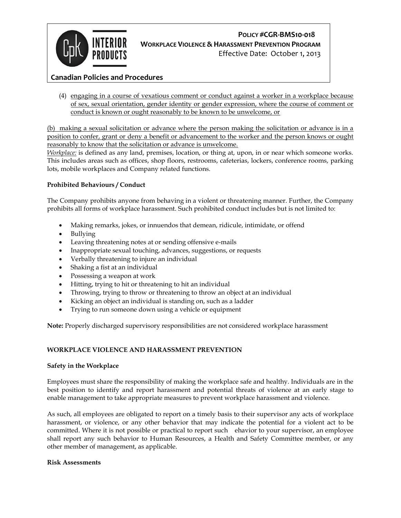

# **POLICY #CGR-BMS10-018 WORKPLACE VIOLENCE &HARASSMENT PREVENTION PROGRAM**

Effective Date: October 1, 2013

# **Canadian Policies and Procedures**

(4) engaging in a course of vexatious comment or conduct against a worker in a workplace because of sex, sexual orientation, gender identity or gender expression, where the course of comment or conduct is known or ought reasonably to be known to be unwelcome, or

(b) making a sexual solicitation or advance where the person making the solicitation or advance is in a position to confer, grant or deny a benefit or advancement to the worker and the person knows or ought reasonably to know that the solicitation or advance is unwelcome.

*Workplace:* is defined as any land, premises, location, or thing at, upon, in or near which someone works. This includes areas such as offices, shop floors, restrooms, cafeterias, lockers, conference rooms, parking lots, mobile workplaces and Company related functions.

#### **Prohibited Behaviours / Conduct**

The Company prohibits anyone from behaving in a violent or threatening manner. Further, the Company prohibits all forms of workplace harassment. Such prohibited conduct includes but is not limited to:

- Making remarks, jokes, or innuendos that demean, ridicule, intimidate, or offend
- Bullying
- Leaving threatening notes at or sending offensive e-mails
- Inappropriate sexual touching, advances, suggestions, or requests
- Verbally threatening to injure an individual
- Shaking a fist at an individual
- Possessing a weapon at work
- Hitting, trying to hit or threatening to hit an individual
- Throwing, trying to throw or threatening to throw an object at an individual
- Kicking an object an individual is standing on, such as a ladder
- Trying to run someone down using a vehicle or equipment

**Note:** Properly discharged supervisory responsibilities are not considered workplace harassment

#### **WORKPLACE VIOLENCE AND HARASSMENT PREVENTION**

#### **Safety in the Workplace**

Employees must share the responsibility of making the workplace safe and healthy. Individuals are in the best position to identify and report harassment and potential threats of violence at an early stage to enable management to take appropriate measures to prevent workplace harassment and violence.

As such, all employees are obligated to report on a timely basis to their supervisor any acts of workplace harassment, or violence, or any other behavior that may indicate the potential for a violent act to be committed. Where it is not possible or practical to report such ehavior to your supervisor, an employee shall report any such behavior to Human Resources, a Health and Safety Committee member, or any other member of management, as applicable.

#### **Risk Assessments**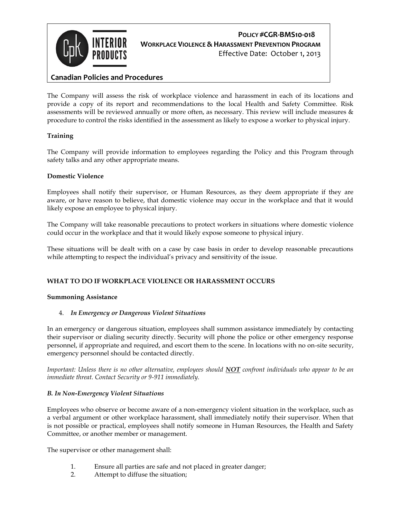

# **POLICY #CGR-BMS10-018 WORKPLACE VIOLENCE & HARASSMENT PREVENTION PROGRAM** Effective Date: October 1, 2013

# **Canadian Policies and Procedures**

The Company will assess the risk of workplace violence and harassment in each of its locations and provide a copy of its report and recommendations to the local Health and Safety Committee. Risk assessments will be reviewed annually or more often, as necessary. This review will include measures & procedure to control the risks identified in the assessment as likely to expose a worker to physical injury.

### **Training**

The Company will provide information to employees regarding the Policy and this Program through safety talks and any other appropriate means.

#### **Domestic Violence**

Employees shall notify their supervisor, or Human Resources, as they deem appropriate if they are aware, or have reason to believe, that domestic violence may occur in the workplace and that it would likely expose an employee to physical injury.

The Company will take reasonable precautions to protect workers in situations where domestic violence could occur in the workplace and that it would likely expose someone to physical injury.

These situations will be dealt with on a case by case basis in order to develop reasonable precautions while attempting to respect the individual's privacy and sensitivity of the issue.

### **WHAT TO DO IF WORKPLACE VIOLENCE OR HARASSMENT OCCURS**

#### **Summoning Assistance**

#### 4. *In Emergency or Dangerous Violent Situations*

In an emergency or dangerous situation, employees shall summon assistance immediately by contacting their supervisor or dialing security directly. Security will phone the police or other emergency response personnel, if appropriate and required, and escort them to the scene. In locations with no on-site security, emergency personnel should be contacted directly.

*Important: Unless there is no other alternative, employees should NOT confront individuals who appear to be an immediate threat. Contact Security or 9-911 immediately.* 

#### *B. In Non-Emergency Violent Situations*

Employees who observe or become aware of a non-emergency violent situation in the workplace, such as a verbal argument or other workplace harassment, shall immediately notify their supervisor. When that is not possible or practical, employees shall notify someone in Human Resources, the Health and Safety Committee, or another member or management.

The supervisor or other management shall:

- 1. Ensure all parties are safe and not placed in greater danger;
- 2. Attempt to diffuse the situation;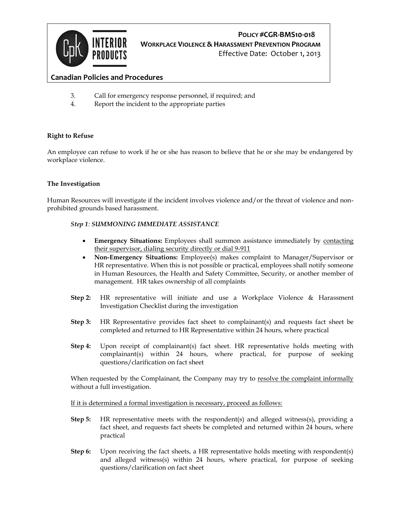

# **POLICY #CGR-BMS10-018 WORKPLACE VIOLENCE & HARASSMENT PREVENTION PROGRAM**

Effective Date: October 1, 2013

# **Canadian Policies and Procedures**

- 3. Call for emergency response personnel, if required; and
- 4. Report the incident to the appropriate parties

#### **Right to Refuse**

An employee can refuse to work if he or she has reason to believe that he or she may be endangered by workplace violence.

#### **The Investigation**

Human Resources will investigate if the incident involves violence and/or the threat of violence and nonprohibited grounds based harassment.

#### *Step 1: SUMMONING IMMEDIATE ASSISTANCE*

- **Emergency Situations:** Employees shall summon assistance immediately by contacting their supervisor, dialing security directly or dial 9-911
- **Non-Emergency Situations:** Employee(s) makes complaint to Manager/Supervisor or HR representative. When this is not possible or practical, employees shall notify someone in Human Resources, the Health and Safety Committee, Security, or another member of management. HR takes ownership of all complaints
- **Step 2:** HR representative will initiate and use a Workplace Violence & Harassment Investigation Checklist during the investigation
- **Step 3:** HR Representative provides fact sheet to complainant(s) and requests fact sheet be completed and returned to HR Representative within 24 hours, where practical
- **Step 4:** Upon receipt of complainant(s) fact sheet. HR representative holds meeting with complainant(s) within 24 hours, where practical, for purpose of seeking questions/clarification on fact sheet

When requested by the Complainant, the Company may try to resolve the complaint informally without a full investigation.

If it is determined a formal investigation is necessary, proceed as follows:

- **Step 5:** HR representative meets with the respondent(s) and alleged witness(s), providing a fact sheet, and requests fact sheets be completed and returned within 24 hours, where practical
- **Step 6:** Upon receiving the fact sheets, a HR representative holds meeting with respondent(s) and alleged witness(s) within 24 hours, where practical, for purpose of seeking questions/clarification on fact sheet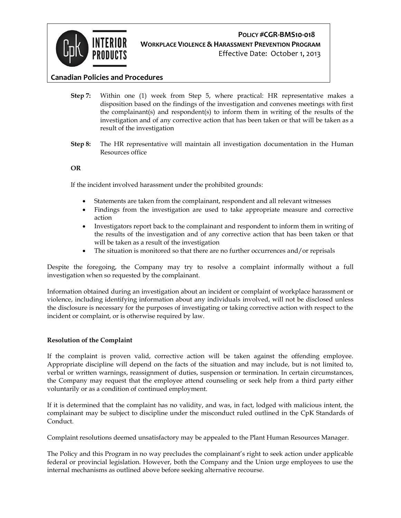

# **POLICY #CGR-BMS10-018 WORKPLACE VIOLENCE &HARASSMENT PREVENTION PROGRAM**

Effective Date: October 1, 2013

## **Canadian Policies and Procedures**

- **Step 7:** Within one (1) week from Step 5, where practical: HR representative makes a disposition based on the findings of the investigation and convenes meetings with first the complainant(s) and respondent(s) to inform them in writing of the results of the investigation and of any corrective action that has been taken or that will be taken as a result of the investigation
- **Step 8:** The HR representative will maintain all investigation documentation in the Human Resources office

#### **OR**

If the incident involved harassment under the prohibited grounds:

- Statements are taken from the complainant, respondent and all relevant witnesses
- Findings from the investigation are used to take appropriate measure and corrective action
- Investigators report back to the complainant and respondent to inform them in writing of the results of the investigation and of any corrective action that has been taken or that will be taken as a result of the investigation
- The situation is monitored so that there are no further occurrences and/or reprisals

Despite the foregoing, the Company may try to resolve a complaint informally without a full investigation when so requested by the complainant.

Information obtained during an investigation about an incident or complaint of workplace harassment or violence, including identifying information about any individuals involved, will not be disclosed unless the disclosure is necessary for the purposes of investigating or taking corrective action with respect to the incident or complaint, or is otherwise required by law.

#### **Resolution of the Complaint**

If the complaint is proven valid, corrective action will be taken against the offending employee. Appropriate discipline will depend on the facts of the situation and may include, but is not limited to, verbal or written warnings, reassignment of duties, suspension or termination. In certain circumstances, the Company may request that the employee attend counseling or seek help from a third party either voluntarily or as a condition of continued employment.

If it is determined that the complaint has no validity, and was, in fact, lodged with malicious intent, the complainant may be subject to discipline under the misconduct ruled outlined in the CpK Standards of Conduct.

Complaint resolutions deemed unsatisfactory may be appealed to the Plant Human Resources Manager.

The Policy and this Program in no way precludes the complainant's right to seek action under applicable federal or provincial legislation. However, both the Company and the Union urge employees to use the internal mechanisms as outlined above before seeking alternative recourse.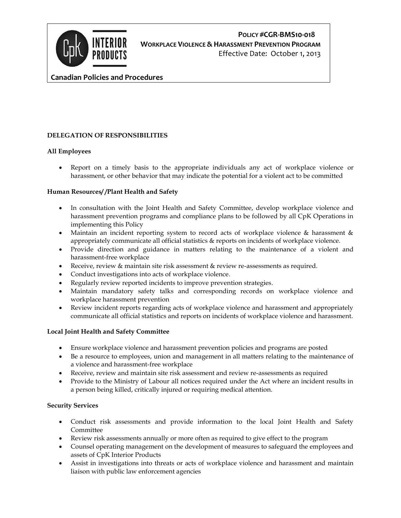

# **POLICY #CGR-BMS10-018 WORKPLACE VIOLENCE & HARASSMENT PREVENTION PROGRAM** Effective Date: October 1, 2013

## **Canadian Policies and Procedures**

#### **DELEGATION OF RESPONSIBILITIES**

#### **All Employees**

 Report on a timely basis to the appropriate individuals any act of workplace violence or harassment, or other behavior that may indicate the potential for a violent act to be committed

#### **Human Resources/ /Plant Health and Safety**

- In consultation with the Joint Health and Safety Committee, develop workplace violence and harassment prevention programs and compliance plans to be followed by all CpK Operations in implementing this Policy
- Maintain an incident reporting system to record acts of workplace violence & harassment & appropriately communicate all official statistics & reports on incidents of workplace violence.
- Provide direction and guidance in matters relating to the maintenance of a violent and harassment-free workplace
- Receive, review & maintain site risk assessment & review re-assessments as required.
- Conduct investigations into acts of workplace violence.
- Regularly review reported incidents to improve prevention strategies.
- Maintain mandatory safety talks and corresponding records on workplace violence and workplace harassment prevention
- Review incident reports regarding acts of workplace violence and harassment and appropriately communicate all official statistics and reports on incidents of workplace violence and harassment.

#### **Local Joint Health and Safety Committee**

- Ensure workplace violence and harassment prevention policies and programs are posted
- Be a resource to employees, union and management in all matters relating to the maintenance of a violence and harassment-free workplace
- Receive, review and maintain site risk assessment and review re-assessments as required
- Provide to the Ministry of Labour all notices required under the Act where an incident results in a person being killed, critically injured or requiring medical attention.

#### **Security Services**

- Conduct risk assessments and provide information to the local Joint Health and Safety **Committee**
- Review risk assessments annually or more often as required to give effect to the program
- Counsel operating management on the development of measures to safeguard the employees and assets of CpK Interior Products
- Assist in investigations into threats or acts of workplace violence and harassment and maintain liaison with public law enforcement agencies